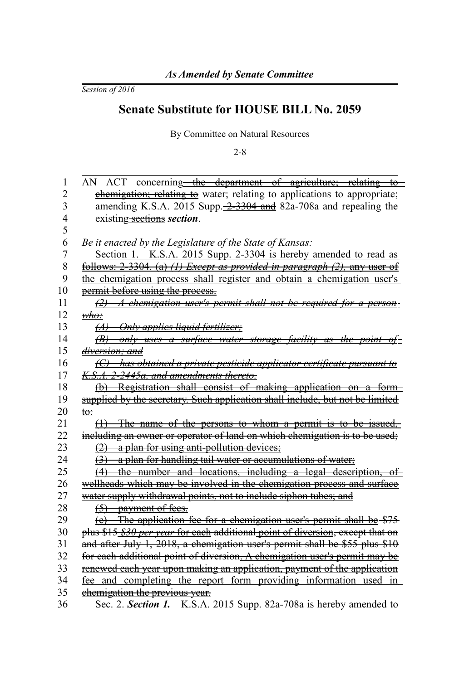*Session of 2016*

## **Senate Substitute for HOUSE BILL No. 2059**

By Committee on Natural Resources

2-8

| 1              | AN ACT concerning—the department of agriculture; relating to                                  |
|----------------|-----------------------------------------------------------------------------------------------|
| $\overline{c}$ | chemigation; relating to water; relating to applications to appropriate;                      |
| 3              | amending K.S.A. 2015 Supp. $\frac{2-3304}{2}$ and 82a-708a and repealing the                  |
| 4              | existing-sections section.                                                                    |
| 5              |                                                                                               |
| 6              | Be it enacted by the Legislature of the State of Kansas:                                      |
| $\overline{7}$ | Section 1. K.S.A. 2015 Supp. 2-3304 is hereby amended to read as                              |
| 8              | <u>follows: 2-3304. (a) (1) Except as provided in paragraph <math>(2)</math>, any user of</u> |
| 9              | the chemigation process shall register and obtain a chemigation user's-                       |
| 10             | permit before using the process.                                                              |
| 11             | $\frac{1}{2}$ A chemigation user's permit shall not be required for a person:                 |
| 12             | $\omega$                                                                                      |
| 13             | (A) Only applies liquid fertilizer;                                                           |
| 14             | $(B)$ only uses a surface water storage facility as the point of $\pm$                        |
| 15             | <del>diversion: and</del>                                                                     |
| 16             | (C) has obtained a private pesticide applicator certificate pursuant to                       |
| 17             | K.S.A. 2-2445a, and amendments thereto.                                                       |
| 18             | (b) Registration shall consist of making application on a form-                               |
| 19             | supplied by the secretary. Such application shall include, but not be limited                 |
| 20             | <del>to∶</del>                                                                                |
| 21             | (1) The name of the persons to whom a permit is to be issued,                                 |
| 22             | including an owner or operator of land on which chemigation is to be used;                    |
| 23             | $\frac{1}{2}$ a plan for using anti-pollution devices;                                        |
| 24             | (3) a plan for handling tail water or accumulations of water;                                 |
| 25             | (4) the number and locations, including a legal description, of                               |
| 26             | wellheads which may be involved in the chemigation process and surface                        |
| 27             | water supply withdrawal points, not to include siphon tubes; and                              |
| 28             | $(5)$ payment of fees.                                                                        |
| 29             | (e) The application fee for a chemigation user's permit shall be \$75                         |
| 30             | plus \$15 \$30 per year for each additional point of diversion, except that on                |
| 31             | and after July 1, 2018, a chemigation user's permit shall be \$55 plus \$10                   |
| 32             | for each additional point of diversion. A chemigation user's permit may be                    |
| 33             | renewed each year upon making an application, payment of the application                      |
| 34             | fee and completing the report form providing information used in-                             |
| 35             | chemigation the previous year.                                                                |
| 36             | See. 2. Section 1. K.S.A. 2015 Supp. 82a-708a is hereby amended to                            |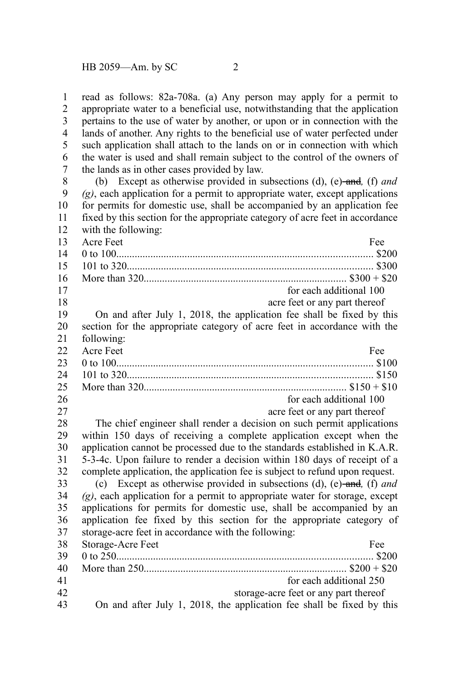read as follows: 82a-708a. (a) Any person may apply for a permit to appropriate water to a beneficial use, notwithstanding that the application pertains to the use of water by another, or upon or in connection with the lands of another. Any rights to the beneficial use of water perfected under such application shall attach to the lands on or in connection with which the water is used and shall remain subject to the control of the owners of the lands as in other cases provided by law. 1 2 3 4 5 6 7

(b) Except as otherwise provided in subsections (d), (e) and*,* (f) *and (g)*, each application for a permit to appropriate water, except applications for permits for domestic use, shall be accompanied by an application fee fixed by this section for the appropriate category of acre feet in accordance with the following: 8 9 10 11 12

| 13 | Acre Feet<br>Fee                                                               |
|----|--------------------------------------------------------------------------------|
| 14 |                                                                                |
| 15 |                                                                                |
| 16 |                                                                                |
| 17 | for each additional 100                                                        |
| 18 | acre feet or any part thereof                                                  |
| 19 | On and after July 1, 2018, the application fee shall be fixed by this          |
| 20 | section for the appropriate category of acre feet in accordance with the       |
| 21 | following:                                                                     |
| 22 | Acre Feet<br>Fee                                                               |
| 23 |                                                                                |
| 24 |                                                                                |
| 25 |                                                                                |
| 26 | for each additional 100                                                        |
| 27 | acre feet or any part thereof                                                  |
| 28 | The chief engineer shall render a decision on such permit applications         |
| 29 | within 150 days of receiving a complete application except when the            |
| 30 | application cannot be processed due to the standards established in K.A.R.     |
| 31 | 5-3-4c. Upon failure to render a decision within 180 days of receipt of a      |
| 32 | complete application, the application fee is subject to refund upon request.   |
| 33 | (c) Except as otherwise provided in subsections (d), (e)-and, (f) and          |
| 34 | $(g)$ , each application for a permit to appropriate water for storage, except |
| 35 | applications for permits for domestic use, shall be accompanied by an          |
| 36 | application fee fixed by this section for the appropriate category of          |
| 37 | storage-acre feet in accordance with the following:                            |
| 38 | Storage-Acre Feet<br>Fee                                                       |
| 39 |                                                                                |
| 40 |                                                                                |
| 41 | for each additional 250                                                        |
| 42 | storage-acre feet or any part thereof                                          |
| 43 | On and after July 1, 2018, the application fee shall be fixed by this          |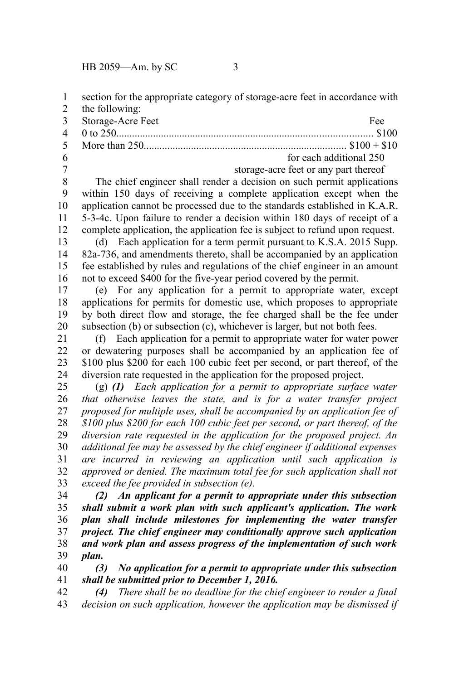HB 2059—Am. by SC 3

section for the appropriate category of storage-acre feet in accordance with 1

- the following: Storage-Acre Feet Fee 0 to 250................................................................................................. \$100 More than 250............................................................................. \$100 + \$10 for each additional 250 2 3 4 5 6
- 7

storage-acre feet or any part thereof

The chief engineer shall render a decision on such permit applications within 150 days of receiving a complete application except when the application cannot be processed due to the standards established in K.A.R. 5-3-4c. Upon failure to render a decision within 180 days of receipt of a complete application, the application fee is subject to refund upon request. 8 9 10 11 12

(d) Each application for a term permit pursuant to K.S.A. 2015 Supp. 82a-736, and amendments thereto, shall be accompanied by an application fee established by rules and regulations of the chief engineer in an amount not to exceed \$400 for the five-year period covered by the permit. 13 14 15 16

(e) For any application for a permit to appropriate water, except applications for permits for domestic use, which proposes to appropriate by both direct flow and storage, the fee charged shall be the fee under subsection (b) or subsection (c), whichever is larger, but not both fees. 17 18 19 20

(f) Each application for a permit to appropriate water for water power or dewatering purposes shall be accompanied by an application fee of \$100 plus \$200 for each 100 cubic feet per second, or part thereof, of the diversion rate requested in the application for the proposed project. 21 22 23 24

(g) *(1) Each application for a permit to appropriate surface water that otherwise leaves the state, and is for a water transfer project proposed for multiple uses, shall be accompanied by an application fee of \$100 plus \$200 for each 100 cubic feet per second, or part thereof, of the diversion rate requested in the application for the proposed project. An additional fee may be assessed by the chief engineer if additional expenses are incurred in reviewing an application until such application is approved or denied. The maximum total fee for such application shall not exceed the fee provided in subsection (e).*  25 26 27 28 29 30 31 32 33

*(2) An applicant for a permit to appropriate under this subsection shall submit a work plan with such applicant's application. The work plan shall include milestones for implementing the water transfer project. The chief engineer may conditionally approve such application and work plan and assess progress of the implementation of such work plan.* 34 35 36 37 38 39

*(3) No application for a permit to appropriate under this subsection shall be submitted prior to December 1, 2016.* 40 41

*(4) There shall be no deadline for the chief engineer to render a final decision on such application, however the application may be dismissed if* 42 43